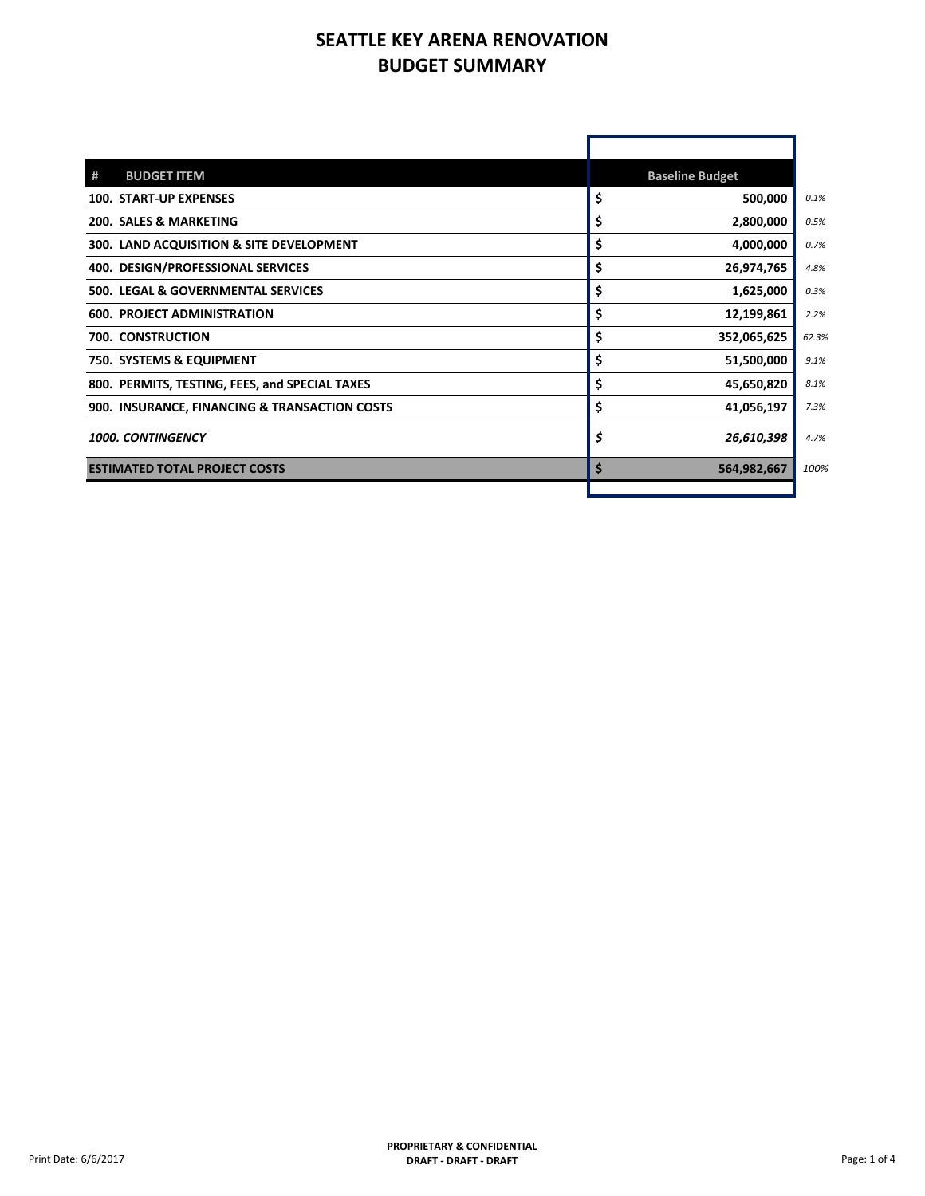## **SEATTLE KEY ARENA RENOVATION BUDGET SUMMARY**

| <b>BUDGET ITEM</b><br>#                        |    | <b>Baseline Budget</b> |
|------------------------------------------------|----|------------------------|
| <b>100. START-UP EXPENSES</b>                  | \$ | 500,000                |
| <b>200. SALES &amp; MARKETING</b>              | \$ | 2,800,000              |
| 300. LAND ACQUISITION & SITE DEVELOPMENT       | \$ | 4,000,000              |
| 400. DESIGN/PROFESSIONAL SERVICES              | \$ | 26,974,765             |
| 500. LEGAL & GOVERNMENTAL SERVICES             | \$ | 1,625,000              |
| <b>600. PROJECT ADMINISTRATION</b>             | \$ | 12,199,861             |
| <b>700. CONSTRUCTION</b>                       | \$ | 352,065,625            |
| 750. SYSTEMS & EQUIPMENT                       | \$ | 51,500,000             |
| 800. PERMITS, TESTING, FEES, and SPECIAL TAXES | \$ | 45,650,820             |
| 900. INSURANCE, FINANCING & TRANSACTION COSTS  | \$ | 41,056,197             |
| <b>1000. CONTINGENCY</b>                       | Ś  | 26,610,398             |
| <b>ESTIMATED TOTAL PROJECT COSTS</b>           | Ś  | 564,982,667            |
|                                                |    |                        |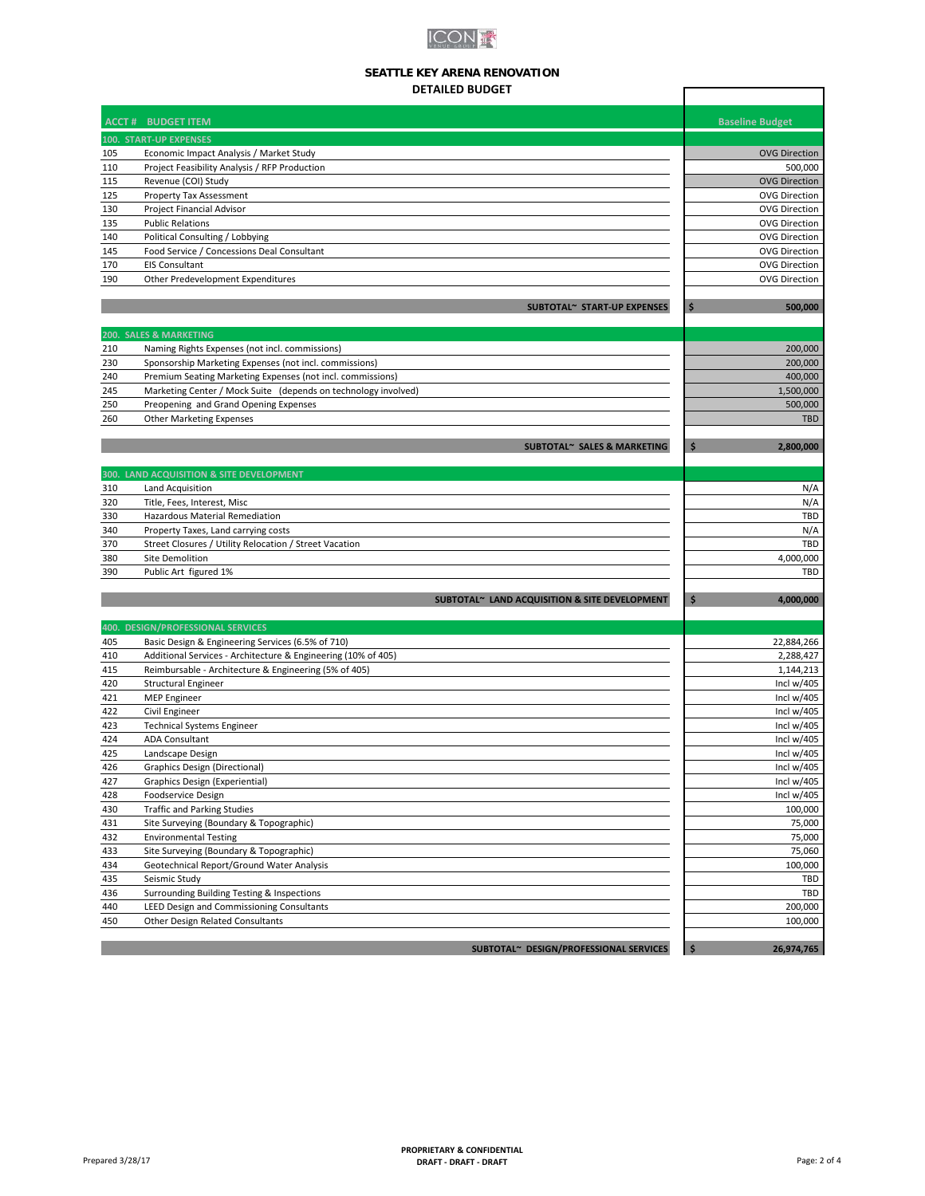

## **SEATTLE KEY ARENA RENOVATION DETAILED BUDGET**

|            | <b>DETAILED BUDGET</b>                                                               |                        |
|------------|--------------------------------------------------------------------------------------|------------------------|
|            | <b>ACCT # BUDGET ITEM</b>                                                            | <b>Baseline Budget</b> |
|            | <b>100. START-UP EXPENSES</b>                                                        |                        |
| 105        | Economic Impact Analysis / Market Study                                              | <b>OVG Direction</b>   |
| 110        | Project Feasibility Analysis / RFP Production                                        | 500,000                |
| 115        | Revenue (COI) Study                                                                  | <b>OVG Direction</b>   |
| 125        | Property Tax Assessment                                                              | <b>OVG Direction</b>   |
| 130        | Project Financial Advisor                                                            | <b>OVG Direction</b>   |
| 135        | <b>Public Relations</b>                                                              | <b>OVG Direction</b>   |
| 140        | Political Consulting / Lobbying                                                      | <b>OVG Direction</b>   |
| 145        | Food Service / Concessions Deal Consultant                                           | <b>OVG Direction</b>   |
| 170        | <b>EIS Consultant</b>                                                                | <b>OVG Direction</b>   |
| 190        | Other Predevelopment Expenditures                                                    | <b>OVG Direction</b>   |
|            | SUBTOTAL~ START-UP EXPENSES                                                          | \$<br>500,000          |
| 200.       | <b>SALES &amp; MARKETING</b>                                                         |                        |
| 210        | Naming Rights Expenses (not incl. commissions)                                       | 200,000                |
| 230        | Sponsorship Marketing Expenses (not incl. commissions)                               | 200,000                |
| 240        | Premium Seating Marketing Expenses (not incl. commissions)                           | 400,000                |
| 245        | Marketing Center / Mock Suite (depends on technology involved)                       | 1,500,000              |
| 250        | Preopening and Grand Opening Expenses<br><b>Other Marketing Expenses</b>             | 500,000<br><b>TBD</b>  |
| 260        |                                                                                      |                        |
|            | SUBTOTAL~ SALES & MARKETING                                                          | \$<br>2,800,000        |
|            | 300. LAND ACQUISITION & SITE DEVELOPMENT                                             |                        |
| 310        | Land Acquisition                                                                     | N/A                    |
| 320        | Title, Fees, Interest, Misc                                                          | N/A                    |
| 330        | Hazardous Material Remediation                                                       | TBD                    |
| 340        | Property Taxes, Land carrying costs                                                  | N/A                    |
| 370        | Street Closures / Utility Relocation / Street Vacation                               | TBD                    |
| 380<br>390 | Site Demolition<br>Public Art figured 1%                                             | 4,000,000<br>TBD       |
|            | SUBTOTAL~ LAND ACQUISITION & SITE DEVELOPMENT                                        | \$<br>4,000,000        |
|            | 400. DESIGN/PROFESSIONAL SERVICES                                                    |                        |
| 405        | Basic Design & Engineering Services (6.5% of 710)                                    | 22,884,266             |
| 410        | Additional Services - Architecture & Engineering (10% of 405)                        | 2,288,427              |
| 415        | Reimbursable - Architecture & Engineering (5% of 405)                                | 1,144,213              |
| 420        | <b>Structural Engineer</b>                                                           | Incl $w/405$           |
| 421        | <b>MEP Engineer</b>                                                                  | Incl $w/405$           |
| 422        | Civil Engineer                                                                       | Incl $w/405$           |
| 423        | <b>Technical Systems Engineer</b>                                                    | Incl $w/405$           |
| 424        | <b>ADA Consultant</b>                                                                | Incl $w/405$           |
| 425        | Landscape Design                                                                     | Incl $w/405$           |
| 426        | Graphics Design (Directional)                                                        | Incl $w/405$           |
| 427        | Graphics Design (Experiential)                                                       | Incl $w/405$           |
| 428        | Foodservice Design                                                                   | Incl $w/405$           |
| 430        | <b>Traffic and Parking Studies</b>                                                   | 100,000                |
| 431        | Site Surveying (Boundary & Topographic)                                              | 75,000                 |
| 432        | <b>Environmental Testing</b>                                                         | 75,000                 |
| 433        | Site Surveying (Boundary & Topographic)<br>Geotechnical Report/Ground Water Analysis | 75,060                 |
| 434        |                                                                                      | 100,000<br>TBD         |
| 435        | Seismic Study<br>Surrounding Building Testing & Inspections                          |                        |
| 436<br>440 |                                                                                      | TBD                    |
| 450        | LEED Design and Commissioning Consultants<br>Other Design Related Consultants        | 200,000<br>100,000     |
|            |                                                                                      |                        |
|            | SUBTOTAL~ DESIGN/PROFESSIONAL SERVICES                                               | 26,974,765             |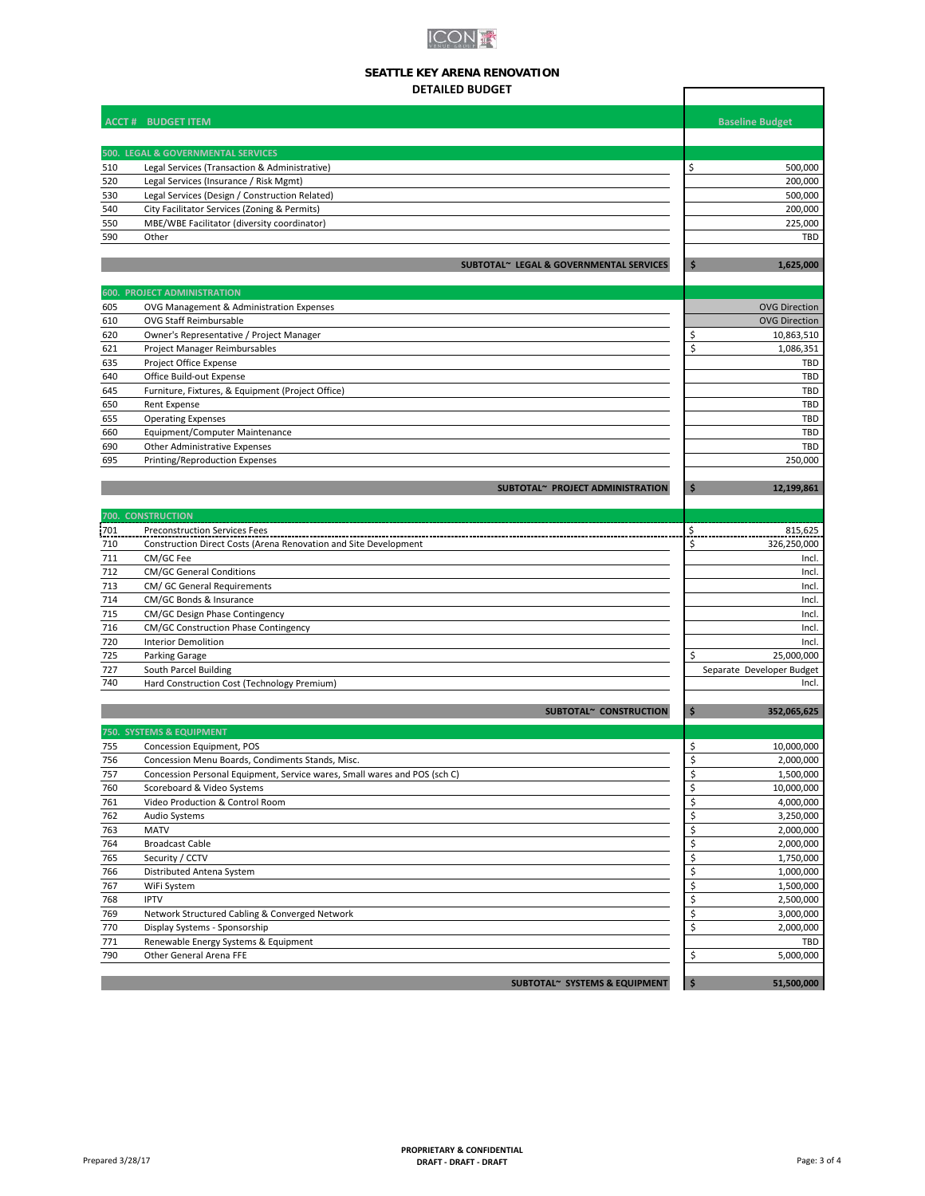# **ICON K**

## **SEATTLE KEY ARENA RENOVATION DETAILED BUDGET**

 $\Gamma$ 

|            | <b>ACCT # BUDGET ITEM</b>                                                     |                     | <b>Baseline Budget</b>    |
|------------|-------------------------------------------------------------------------------|---------------------|---------------------------|
|            | 500. LEGAL & GOVERNMENTAL SERVICES                                            |                     |                           |
| 510        | Legal Services (Transaction & Administrative)                                 | \$                  | 500,000                   |
| 520        | Legal Services (Insurance / Risk Mgmt)                                        |                     | 200,000                   |
| 530        | Legal Services (Design / Construction Related)                                |                     | 500,000                   |
| 540        | City Facilitator Services (Zoning & Permits)                                  |                     | 200,000                   |
| 550        | MBE/WBE Facilitator (diversity coordinator)                                   |                     | 225,000                   |
| 590        | Other                                                                         |                     | <b>TBD</b>                |
|            | SUBTOTAL~ LEGAL & GOVERNMENTAL SERVICES                                       | \$                  | 1,625,000                 |
|            | <b>600. PROJECT ADMINISTRATION</b>                                            |                     |                           |
| 605        | OVG Management & Administration Expenses                                      |                     | <b>OVG Direction</b>      |
| 610        | <b>OVG Staff Reimbursable</b>                                                 |                     | <b>OVG Direction</b>      |
| 620        | Owner's Representative / Project Manager                                      | \$                  | 10,863,510                |
| 621        | Project Manager Reimbursables                                                 | \$                  | 1,086,351                 |
| 635        | Project Office Expense                                                        |                     | TBD<br>TBD                |
| 640<br>645 | Office Build-out Expense<br>Furniture, Fixtures, & Equipment (Project Office) |                     | TBD                       |
| 650        | <b>Rent Expense</b>                                                           |                     | TBD                       |
| 655        | <b>Operating Expenses</b>                                                     |                     | TBD                       |
| 660        | Equipment/Computer Maintenance                                                |                     | <b>TBD</b>                |
| 690        | Other Administrative Expenses                                                 |                     | <b>TBD</b>                |
| 695        | Printing/Reproduction Expenses                                                |                     | 250,000                   |
|            | SUBTOTAL~ PROJECT ADMINISTRATION                                              | \$                  | 12,199,861                |
|            |                                                                               |                     |                           |
| 700.       | <b>CONSTRUCTION</b>                                                           |                     |                           |
| 701        | <b>Preconstruction Services Fees</b>                                          |                     | 815,625                   |
| 710        | Construction Direct Costs (Arena Renovation and Site Development              | \$                  | 326,250,000               |
| 711<br>712 | CM/GC Fee<br><b>CM/GC General Conditions</b>                                  |                     | Incl.<br>Incl.            |
| 713        | CM/ GC General Requirements                                                   |                     | Incl.                     |
| 714        | CM/GC Bonds & Insurance                                                       |                     | Incl.                     |
| 715        | CM/GC Design Phase Contingency                                                |                     | Incl.                     |
| 716        | <b>CM/GC Construction Phase Contingency</b>                                   |                     | Incl.                     |
| 720        | <b>Interior Demolition</b>                                                    |                     | Incl.                     |
| 725        | Parking Garage                                                                | \$                  | 25,000,000                |
| 727        | South Parcel Building                                                         |                     | Separate Developer Budget |
| 740        | Hard Construction Cost (Technology Premium)                                   |                     | Incl.                     |
|            | SUBTOTAL~ CONSTRUCTION                                                        | \$                  | 352,065,625               |
|            | 750. SYSTEMS & EQUIPMENT                                                      |                     |                           |
| 755        | Concession Equipment, POS                                                     | \$                  | 10,000,000                |
| 756        | Concession Menu Boards, Condiments Stands, Misc.                              | \$                  | 2,000,000                 |
| 757        | Concession Personal Equipment, Service wares, Small wares and POS (sch C)     | Ś                   | 1,500,000                 |
| 760        | Scoreboard & Video Systems                                                    | \$<br>\$            | 10,000,000                |
| 761<br>762 | Video Production & Control Room<br>Audio Systems                              | \$                  | 4,000,000<br>3,250,000    |
| 763        | <b>MATV</b>                                                                   | \$                  | 2,000,000                 |
| 764        | <b>Broadcast Cable</b>                                                        | \$                  | 2,000,000                 |
| 765        | Security / CCTV                                                               | \$                  | 1,750,000                 |
| 766        | Distributed Antena System                                                     | \$                  | 1,000,000                 |
| 767        | WiFi System                                                                   | \$                  | 1,500,000                 |
| 768        | <b>IPTV</b>                                                                   | \$                  | 2,500,000                 |
| 769        | Network Structured Cabling & Converged Network                                | \$                  | 3,000,000                 |
| 770        | Display Systems - Sponsorship                                                 | \$                  | 2,000,000                 |
| 771        | Renewable Energy Systems & Equipment                                          |                     | TBD                       |
| 790        | Other General Arena FFE                                                       | \$                  | 5,000,000                 |
|            | SUBTOTAL~ SYSTEMS & EQUIPMENT                                                 | $\ddot{\mathsf{s}}$ | 51,500,000                |